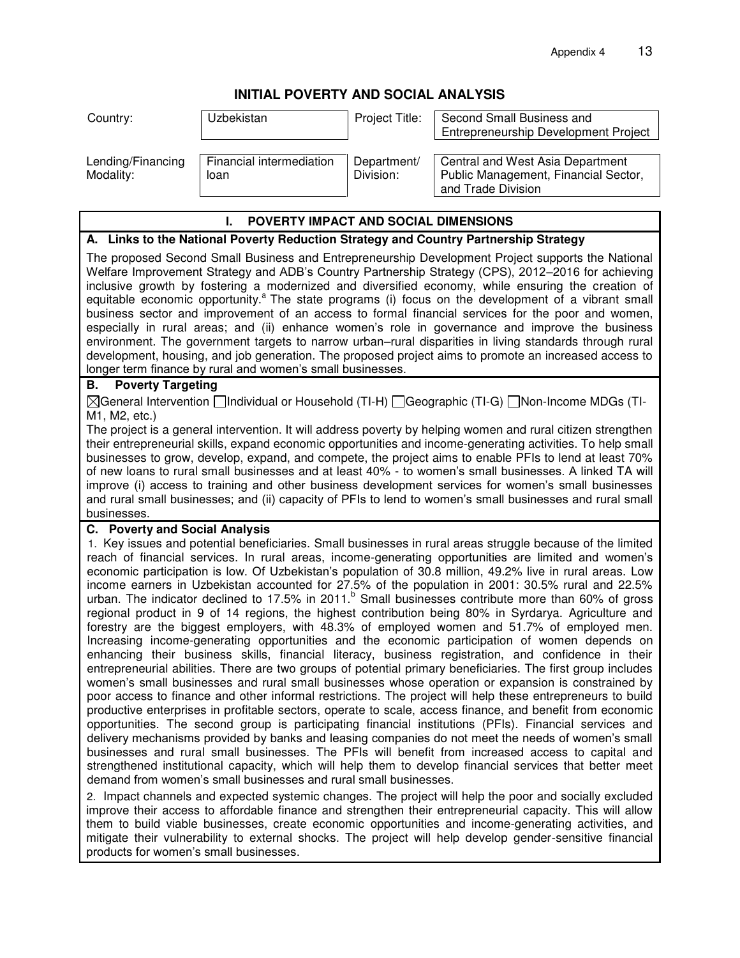# **INITIAL POVERTY AND SOCIAL ANALYSIS**

| Country:                       | Uzbekistan                       | Project Title:           | Second Small Business and<br>Entrepreneurship Development Project                              |
|--------------------------------|----------------------------------|--------------------------|------------------------------------------------------------------------------------------------|
| Lending/Financing<br>Modality: | Financial intermediation<br>loan | Department/<br>Division: | Central and West Asia Department<br>Public Management, Financial Sector,<br>and Trade Division |

## **I. POVERTY IMPACT AND SOCIAL DIMENSIONS**

#### **A. Links to the National Poverty Reduction Strategy and Country Partnership Strategy**

The proposed Second Small Business and Entrepreneurship Development Project supports the National Welfare Improvement Strategy and ADB's Country Partnership Strategy (CPS), 2012–2016 for achieving inclusive growth by fostering a modernized and diversified economy, while ensuring the creation of equitable economic opportunity.<sup>a</sup> The state programs (i) focus on the development of a vibrant small business sector and improvement of an access to formal financial services for the poor and women, especially in rural areas; and (ii) enhance women's role in governance and improve the business environment. The government targets to narrow urban–rural disparities in living standards through rural development, housing, and job generation. The proposed project aims to promote an increased access to longer term finance by rural and women's small businesses.

### **B. Poverty Targeting**

General Intervention Individual or Household (TI-H) Geographic (TI-G) Non-Income MDGs (TI-M1, M2, etc.)

The project is a general intervention. It will address poverty by helping women and rural citizen strengthen their entrepreneurial skills, expand economic opportunities and income-generating activities. To help small businesses to grow, develop, expand, and compete, the project aims to enable PFIs to lend at least 70% of new loans to rural small businesses and at least 40% - to women's small businesses. A linked TA will improve (i) access to training and other business development services for women's small businesses and rural small businesses; and (ii) capacity of PFIs to lend to women's small businesses and rural small businesses.

#### **C. Poverty and Social Analysis**

1. Key issues and potential beneficiaries. Small businesses in rural areas struggle because of the limited reach of financial services. In rural areas, income-generating opportunities are limited and women's economic participation is low. Of Uzbekistan's population of 30.8 million, 49.2% live in rural areas. Low income earners in Uzbekistan accounted for 27.5% of the population in 2001: 30.5% rural and 22.5% urban. The indicator declined to 17.5% in 2011. $^{\circ}$  Small businesses contribute more than 60% of gross regional product in 9 of 14 regions, the highest contribution being 80% in Syrdarya. Agriculture and forestry are the biggest employers, with 48.3% of employed women and 51.7% of employed men. Increasing income-generating opportunities and the economic participation of women depends on enhancing their business skills, financial literacy, business registration, and confidence in their entrepreneurial abilities. There are two groups of potential primary beneficiaries. The first group includes women's small businesses and rural small businesses whose operation or expansion is constrained by poor access to finance and other informal restrictions. The project will help these entrepreneurs to build productive enterprises in profitable sectors, operate to scale, access finance, and benefit from economic opportunities. The second group is participating financial institutions (PFIs). Financial services and delivery mechanisms provided by banks and leasing companies do not meet the needs of women's small businesses and rural small businesses. The PFIs will benefit from increased access to capital and strengthened institutional capacity, which will help them to develop financial services that better meet demand from women's small businesses and rural small businesses.

2. Impact channels and expected systemic changes. The project will help the poor and socially excluded improve their access to affordable finance and strengthen their entrepreneurial capacity. This will allow them to build viable businesses, create economic opportunities and income-generating activities, and mitigate their vulnerability to external shocks. The project will help develop gender-sensitive financial products for women's small businesses.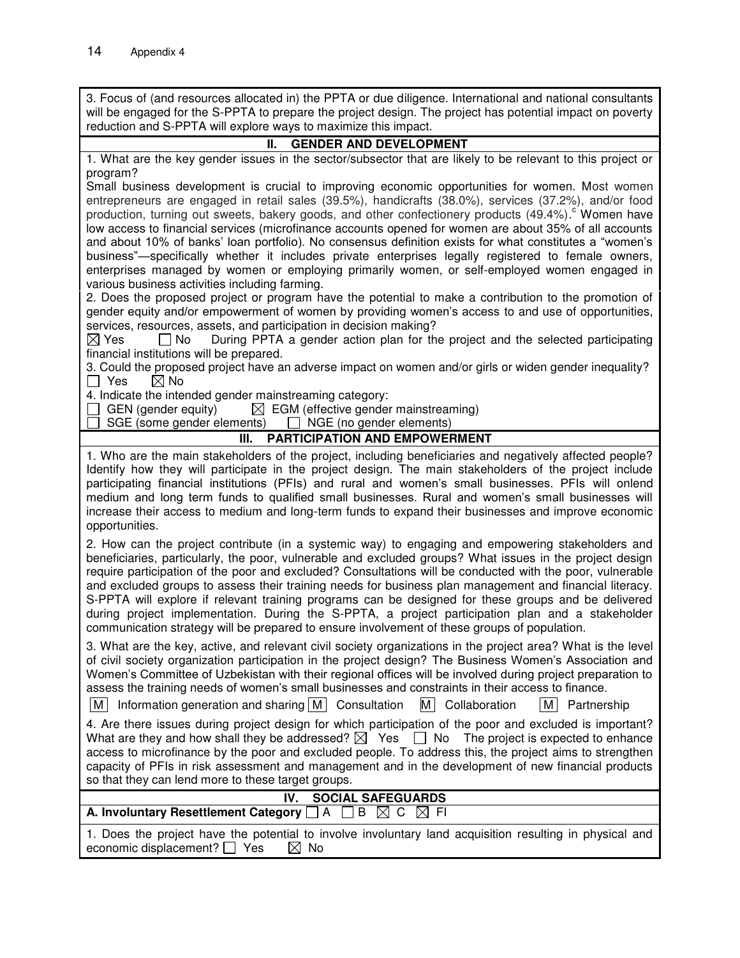3. Focus of (and resources allocated in) the PPTA or due diligence. International and national consultants will be engaged for the S-PPTA to prepare the project design. The project has potential impact on poverty reduction and S-PPTA will explore ways to maximize this impact.

| <b>GENDER AND DEVELOPMENT</b><br>Ш.                                                                                                                                                                                                                                                                                                                                                                                                                                                                                                                                                                                                                                                                                                                    |  |  |
|--------------------------------------------------------------------------------------------------------------------------------------------------------------------------------------------------------------------------------------------------------------------------------------------------------------------------------------------------------------------------------------------------------------------------------------------------------------------------------------------------------------------------------------------------------------------------------------------------------------------------------------------------------------------------------------------------------------------------------------------------------|--|--|
| 1. What are the key gender issues in the sector/subsector that are likely to be relevant to this project or                                                                                                                                                                                                                                                                                                                                                                                                                                                                                                                                                                                                                                            |  |  |
| program?<br>Small business development is crucial to improving economic opportunities for women. Most women<br>entrepreneurs are engaged in retail sales (39.5%), handicrafts (38.0%), services (37.2%), and/or food<br>production, turning out sweets, bakery goods, and other confectionery products (49.4%). Women have<br>low access to financial services (microfinance accounts opened for women are about 35% of all accounts<br>and about 10% of banks' loan portfolio). No consensus definition exists for what constitutes a "women's<br>business"—specifically whether it includes private enterprises legally registered to female owners,<br>enterprises managed by women or employing primarily women, or self-employed women engaged in |  |  |
| various business activities including farming.<br>2. Does the proposed project or program have the potential to make a contribution to the promotion of<br>gender equity and/or empowerment of women by providing women's access to and use of opportunities,<br>services, resources, assets, and participation in decision making?<br>During PPTA a gender action plan for the project and the selected participating<br>$\Box$ No<br>$\boxtimes$ Yes                                                                                                                                                                                                                                                                                                 |  |  |
| financial institutions will be prepared.<br>3. Could the proposed project have an adverse impact on women and/or girls or widen gender inequality?<br>$\Box$ Yes<br>$\boxtimes$ No                                                                                                                                                                                                                                                                                                                                                                                                                                                                                                                                                                     |  |  |
| 4. Indicate the intended gender mainstreaming category:<br>$\boxtimes$ EGM (effective gender mainstreaming)<br>GEN (gender equity)<br>SGE (some gender elements) $\Box$ NGE (no gender elements)                                                                                                                                                                                                                                                                                                                                                                                                                                                                                                                                                       |  |  |
| <b>PARTICIPATION AND EMPOWERMENT</b><br>III.                                                                                                                                                                                                                                                                                                                                                                                                                                                                                                                                                                                                                                                                                                           |  |  |
| 1. Who are the main stakeholders of the project, including beneficiaries and negatively affected people?<br>Identify how they will participate in the project design. The main stakeholders of the project include<br>participating financial institutions (PFIs) and rural and women's small businesses. PFIs will onlend<br>medium and long term funds to qualified small businesses. Rural and women's small businesses will<br>increase their access to medium and long-term funds to expand their businesses and improve economic<br>opportunities.                                                                                                                                                                                               |  |  |
| 2. How can the project contribute (in a systemic way) to engaging and empowering stakeholders and<br>beneficiaries, particularly, the poor, vulnerable and excluded groups? What issues in the project design<br>require participation of the poor and excluded? Consultations will be conducted with the poor, vulnerable<br>and excluded groups to assess their training needs for business plan management and financial literacy.<br>S-PPTA will explore if relevant training programs can be designed for these groups and be delivered<br>during project implementation. During the S-PPTA, a project participation plan and a stakeholder<br>communication strategy will be prepared to ensure involvement of these groups of population.       |  |  |
| 3. What are the key, active, and relevant civil society organizations in the project area? What is the level<br>of civil society organization participation in the project design? The Business Women's Association and<br>Women's Committee of Uzbekistan with their regional offices will be involved during project preparation to<br>assess the training needs of women's small businesses and constraints in their access to finance.<br>Information generation and sharing   M   Consultation<br>M Collaboration<br>M<br>Partnership<br>M                                                                                                                                                                                                        |  |  |
| 4. Are there issues during project design for which participation of the poor and excluded is important?<br>What are they and how shall they be addressed? $\boxtimes$ Yes $\Box$ No<br>The project is expected to enhance<br>access to microfinance by the poor and excluded people. To address this, the project aims to strengthen<br>capacity of PFIs in risk assessment and management and in the development of new financial products<br>so that they can lend more to these target groups.                                                                                                                                                                                                                                                     |  |  |
| IV.<br><b>SOCIAL SAFEGUARDS</b>                                                                                                                                                                                                                                                                                                                                                                                                                                                                                                                                                                                                                                                                                                                        |  |  |
| A. Involuntary Resettlement Category $\Box$ A<br>$\boxtimes$ C $\boxtimes$ FI<br>B                                                                                                                                                                                                                                                                                                                                                                                                                                                                                                                                                                                                                                                                     |  |  |
| 1. Does the project have the potential to involve involuntary land acquisition resulting in physical and<br>economic displacement? $\Box$ Yes<br>$\boxtimes$ No                                                                                                                                                                                                                                                                                                                                                                                                                                                                                                                                                                                        |  |  |